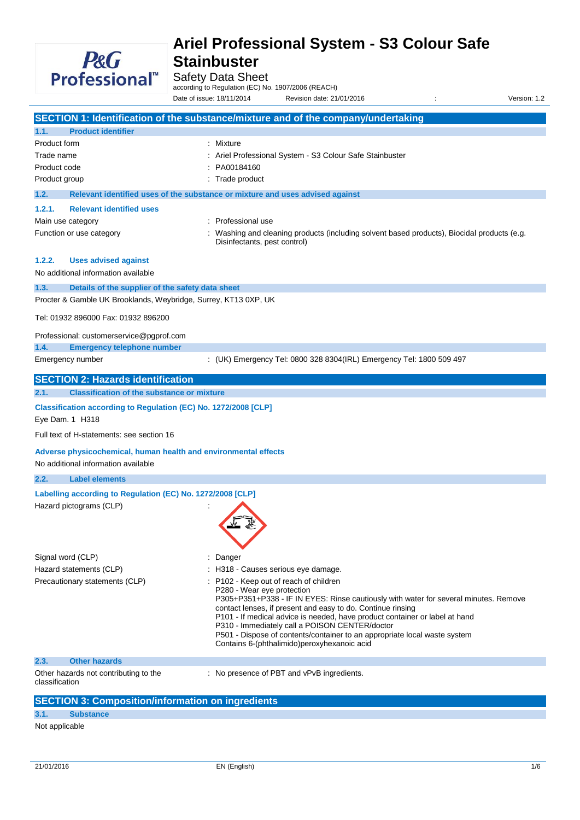

Safety Data Sheet

according to Regulation (EC) No. 1907/2006 (REACH)

Date of issue: 18/11/2014 Revision date: 21/01/2016 : Version: 1.2

**SECTION 1: Identification of the substance/mixture and of the company/undertaking 1.1. Product identifier** Product form : Mixture Trade name **in the state of the State Stainbuster** : Ariel Professional System - S3 Colour Safe Stainbuster Product code : PA00184160 Product group **in the case of the contract of the contract of the contract of the contract of the contract of the contract of the contract of the contract of the contract of the contract of the contract of the contract of 1.2. Relevant identified uses of the substance or mixture and uses advised against 1.2.1. Relevant identified uses** Main use category **Example 20** and the Professional use Function or use category **including 1998** : Washing and cleaning products (including solvent based products), Biocidal products (e.g. Disinfectants, pest control) **1.2.2. Uses advised against** No additional information available **1.3. Details of the supplier of the safety data sheet** Procter & Gamble UK Brooklands, Weybridge, Surrey, KT13 0XP, UK Tel: 01932 896000 Fax: 01932 896200 Professional: customerservice@pgprof.com **1.4. Emergency telephone number** Emergency number : (UK) Emergency Tel: 0800 328 8304(IRL) Emergency Tel: 1800 509 497 **SECTION 2: Hazards identification 2.1. Classification of the substance or mixture Classification according to Regulation (EC) No. 1272/2008 [CLP]** Eye Dam. 1 H318 Full text of H-statements: see section 16 **Adverse physicochemical, human health and environmental effects** No additional information available **2.2. Label elements Labelling according to Regulation (EC) No. 1272/2008 [CLP]** Hazard pictograms (CLP) : Signal word (CLP) : Danger Hazard statements (CLP)  $\qquad \qquad$ : H318 - Causes serious eye damage. Precautionary statements (CLP) : P102 - Keep out of reach of children P280 - Wear eye protection P305+P351+P338 - IF IN EYES: Rinse cautiously with water for several minutes. Remove contact lenses, if present and easy to do. Continue rinsing P101 - If medical advice is needed, have product container or label at hand P310 - Immediately call a POISON CENTER/doctor P501 - Dispose of contents/container to an appropriate local waste system Contains 6-(phthalimido)peroxyhexanoic acid **2.3. Other hazards** Other hazards not contributing to the classification : No presence of PBT and vPvB ingredients.

# **SECTION 3: Composition/information on ingredients**

**3.1. Substance**

Not applicable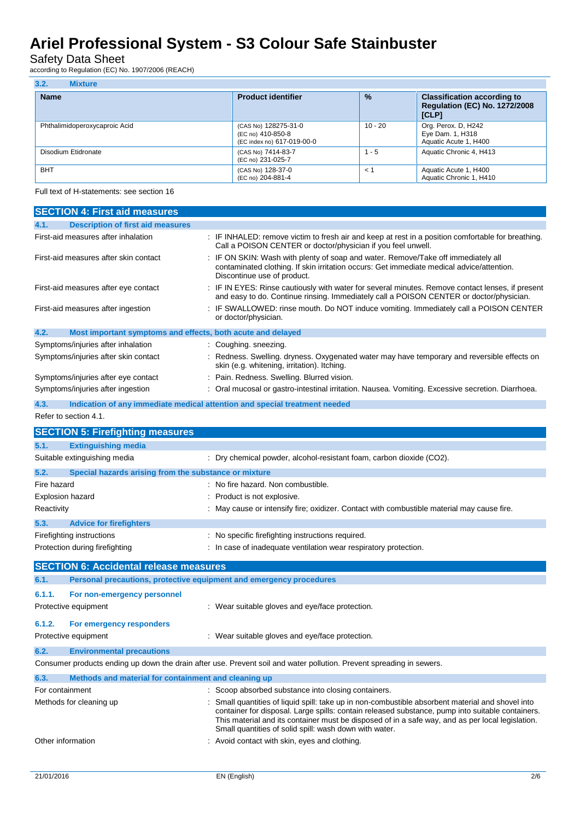## Safety Data Sheet

according to Regulation (EC) No. 1907/2006 (REACH)

| 3.2.<br><b>Mixture</b>        |                                                                         |               |                                                                                     |  |
|-------------------------------|-------------------------------------------------------------------------|---------------|-------------------------------------------------------------------------------------|--|
| <b>Name</b>                   | <b>Product identifier</b>                                               | $\frac{9}{6}$ | <b>Classification according to</b><br><b>Regulation (EC) No. 1272/2008</b><br>[CLP] |  |
| Phthalimidoperoxycaproic Acid | (CAS No) 128275-31-0<br>(EC no) 410-850-8<br>(EC index no) 617-019-00-0 | $10 - 20$     | Org. Perox. D, H242<br>Eye Dam. 1, H318<br>Aquatic Acute 1, H400                    |  |
| Disodium Etidronate           | (CAS No) 7414-83-7<br>(EC no) 231-025-7                                 | $1 - 5$       | Aquatic Chronic 4, H413                                                             |  |
| <b>BHT</b>                    | (CAS No) 128-37-0<br>(EC no) 204-881-4                                  | $\leq$ 1      | Aquatic Acute 1, H400<br>Aquatic Chronic 1, H410                                    |  |

Full text of H-statements: see section 16

| <b>SECTION 4: First aid measures</b>                                        |                                                                                                                                                                                                                                                                                                                                                                     |  |  |
|-----------------------------------------------------------------------------|---------------------------------------------------------------------------------------------------------------------------------------------------------------------------------------------------------------------------------------------------------------------------------------------------------------------------------------------------------------------|--|--|
| <b>Description of first aid measures</b><br>4.1.                            |                                                                                                                                                                                                                                                                                                                                                                     |  |  |
| First-aid measures after inhalation                                         | : IF INHALED: remove victim to fresh air and keep at rest in a position comfortable for breathing.<br>Call a POISON CENTER or doctor/physician if you feel unwell.                                                                                                                                                                                                  |  |  |
| First-aid measures after skin contact                                       | IF ON SKIN: Wash with plenty of soap and water. Remove/Take off immediately all<br>contaminated clothing. If skin irritation occurs: Get immediate medical advice/attention.<br>Discontinue use of product.                                                                                                                                                         |  |  |
| First-aid measures after eye contact                                        | IF IN EYES: Rinse cautiously with water for several minutes. Remove contact lenses, if present<br>and easy to do. Continue rinsing. Immediately call a POISON CENTER or doctor/physician.                                                                                                                                                                           |  |  |
| First-aid measures after ingestion                                          | IF SWALLOWED: rinse mouth. Do NOT induce vomiting. Immediately call a POISON CENTER<br>or doctor/physician.                                                                                                                                                                                                                                                         |  |  |
| 4.2.<br>Most important symptoms and effects, both acute and delayed         |                                                                                                                                                                                                                                                                                                                                                                     |  |  |
| Symptoms/injuries after inhalation                                          | : Coughing. sneezing.                                                                                                                                                                                                                                                                                                                                               |  |  |
| Symptoms/injuries after skin contact                                        | : Redness. Swelling. dryness. Oxygenated water may have temporary and reversible effects on<br>skin (e.g. whitening, irritation). Itching.                                                                                                                                                                                                                          |  |  |
| Symptoms/injuries after eye contact                                         | Pain. Redness. Swelling. Blurred vision.                                                                                                                                                                                                                                                                                                                            |  |  |
| Symptoms/injuries after ingestion                                           | Oral mucosal or gastro-intestinal irritation. Nausea. Vomiting. Excessive secretion. Diarrhoea.                                                                                                                                                                                                                                                                     |  |  |
| 4.3.                                                                        | Indication of any immediate medical attention and special treatment needed                                                                                                                                                                                                                                                                                          |  |  |
| Refer to section 4.1.                                                       |                                                                                                                                                                                                                                                                                                                                                                     |  |  |
| <b>SECTION 5: Firefighting measures</b>                                     |                                                                                                                                                                                                                                                                                                                                                                     |  |  |
| 5.1.<br><b>Extinguishing media</b>                                          |                                                                                                                                                                                                                                                                                                                                                                     |  |  |
| Suitable extinguishing media                                                | : Dry chemical powder, alcohol-resistant foam, carbon dioxide (CO2).                                                                                                                                                                                                                                                                                                |  |  |
| 5.2.<br>Special hazards arising from the substance or mixture               |                                                                                                                                                                                                                                                                                                                                                                     |  |  |
| Fire hazard                                                                 | : No fire hazard. Non combustible.                                                                                                                                                                                                                                                                                                                                  |  |  |
| Explosion hazard                                                            | Product is not explosive.                                                                                                                                                                                                                                                                                                                                           |  |  |
| Reactivity                                                                  | : May cause or intensify fire; oxidizer. Contact with combustible material may cause fire.                                                                                                                                                                                                                                                                          |  |  |
| 5.3.<br><b>Advice for firefighters</b>                                      |                                                                                                                                                                                                                                                                                                                                                                     |  |  |
| Firefighting instructions                                                   | : No specific firefighting instructions required.                                                                                                                                                                                                                                                                                                                   |  |  |
| Protection during firefighting                                              | : In case of inadequate ventilation wear respiratory protection.                                                                                                                                                                                                                                                                                                    |  |  |
| <b>SECTION 6: Accidental release measures</b>                               |                                                                                                                                                                                                                                                                                                                                                                     |  |  |
| Personal precautions, protective equipment and emergency procedures<br>6.1. |                                                                                                                                                                                                                                                                                                                                                                     |  |  |
| 6.1.1.<br>For non-emergency personnel                                       |                                                                                                                                                                                                                                                                                                                                                                     |  |  |
| Protective equipment                                                        | : Wear suitable gloves and eye/face protection.                                                                                                                                                                                                                                                                                                                     |  |  |
| 6.1.2.<br>For emergency responders                                          |                                                                                                                                                                                                                                                                                                                                                                     |  |  |
| Protective equipment                                                        | : Wear suitable gloves and eye/face protection.                                                                                                                                                                                                                                                                                                                     |  |  |
| 6.2.<br><b>Environmental precautions</b>                                    |                                                                                                                                                                                                                                                                                                                                                                     |  |  |
|                                                                             | Consumer products ending up down the drain after use. Prevent soil and water pollution. Prevent spreading in sewers.                                                                                                                                                                                                                                                |  |  |
| 6.3.<br>Methods and material for containment and cleaning up                |                                                                                                                                                                                                                                                                                                                                                                     |  |  |
| For containment                                                             | : Scoop absorbed substance into closing containers.                                                                                                                                                                                                                                                                                                                 |  |  |
| Methods for cleaning up                                                     | : Small quantities of liquid spill: take up in non-combustible absorbent material and shovel into<br>container for disposal. Large spills: contain released substance, pump into suitable containers.<br>This material and its container must be disposed of in a safe way, and as per local legislation.<br>Small quantities of solid spill: wash down with water. |  |  |
| Other information                                                           | : Avoid contact with skin, eyes and clothing.                                                                                                                                                                                                                                                                                                                       |  |  |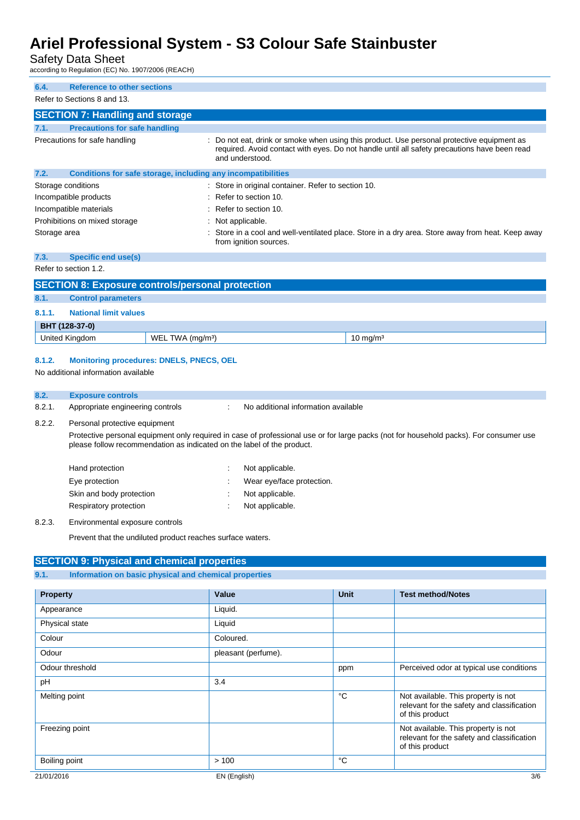## Safety Data Sheet

according to Regulation (EC) No. 1907/2006 (REACH)

| 6.4.<br><b>Reference to other sections</b>                           |                                                                                                                                                                                                               |
|----------------------------------------------------------------------|---------------------------------------------------------------------------------------------------------------------------------------------------------------------------------------------------------------|
| Refer to Sections 8 and 13.                                          |                                                                                                                                                                                                               |
| <b>SECTION 7: Handling and storage</b>                               |                                                                                                                                                                                                               |
| <b>Precautions for safe handling</b><br>7.1.                         |                                                                                                                                                                                                               |
| Precautions for safe handling                                        | : Do not eat, drink or smoke when using this product. Use personal protective equipment as<br>required. Avoid contact with eyes. Do not handle until all safety precautions have been read<br>and understood. |
| 7.2.<br>Conditions for safe storage, including any incompatibilities |                                                                                                                                                                                                               |
| Storage conditions                                                   | : Store in original container. Refer to section 10.                                                                                                                                                           |
| Incompatible products                                                | $\therefore$ Refer to section 10.                                                                                                                                                                             |
| Incompatible materials                                               | $\therefore$ Refer to section 10.                                                                                                                                                                             |
| Prohibitions on mixed storage                                        | Not applicable.                                                                                                                                                                                               |
| Storage area                                                         | : Store in a cool and well-ventilated place. Store in a dry area. Store away from heat. Keep away<br>from ignition sources.                                                                                   |
| 7.3.<br>Specific end use(s)                                          |                                                                                                                                                                                                               |

### Refer to section 1.2.

|        | <b>SECTION 8: Exposure controls/personal protection</b> |                               |                     |  |  |
|--------|---------------------------------------------------------|-------------------------------|---------------------|--|--|
| 8.1.   | <b>Control parameters</b>                               |                               |                     |  |  |
| 8.1.1. | <b>National limit values</b>                            |                               |                     |  |  |
|        | BHT (128-37-0)                                          |                               |                     |  |  |
|        | United Kingdom                                          | WEL TWA (mg/m <sup>3</sup> )  | $10 \text{ mg/m}^3$ |  |  |
|        |                                                         | $\ldots \ldots \ldots \ldots$ |                     |  |  |

### **8.1.2. Monitoring procedures: DNELS, PNECS, OEL**

No additional information available

#### **8.2. Exposure controls**

8.2.1. Appropriate engineering controls : No additional information available

#### 8.2.2. Personal protective equipment

Protective personal equipment only required in case of professional use or for large packs (not for household packs). For consumer use please follow recommendation as indicated on the label of the product.

| Hand protection          | Not applicable.           |
|--------------------------|---------------------------|
| Eye protection           | Wear eye/face protection. |
| Skin and body protection | Not applicable.           |
| Respiratory protection   | Not applicable.           |
|                          |                           |

8.2.3. Environmental exposure controls

Prevent that the undiluted product reaches surface waters.

### **SECTION 9: Physical and chemical properties**

| 9.1.<br>Information on basic physical and chemical properties |                     |             |                                                                                                      |
|---------------------------------------------------------------|---------------------|-------------|------------------------------------------------------------------------------------------------------|
|                                                               |                     |             |                                                                                                      |
| <b>Property</b>                                               | Value               | <b>Unit</b> | <b>Test method/Notes</b>                                                                             |
| Appearance                                                    | Liquid.             |             |                                                                                                      |
| Physical state                                                | Liquid              |             |                                                                                                      |
| Colour                                                        | Coloured.           |             |                                                                                                      |
| Odour                                                         | pleasant (perfume). |             |                                                                                                      |
| Odour threshold                                               |                     | ppm         | Perceived odor at typical use conditions                                                             |
| pH                                                            | 3.4                 |             |                                                                                                      |
| Melting point                                                 |                     | °C          | Not available. This property is not<br>relevant for the safety and classification<br>of this product |
| Freezing point                                                |                     |             | Not available. This property is not<br>relevant for the safety and classification<br>of this product |
| Boiling point                                                 | >100                | °C          |                                                                                                      |
| 21/01/2016                                                    | EN (English)        |             | 3/6                                                                                                  |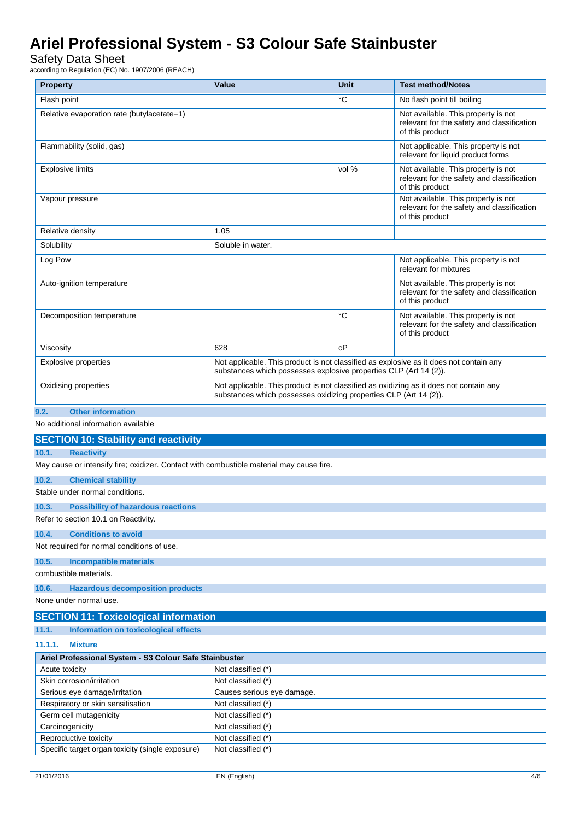Safety Data Sheet

according to Regulation (EC) No. 1907/2006 (REACH)

| ccording to Regulation (EC) No. 1907/2006 (REACH)                                                                                                                                          |                                          |                                                                                                                                                             |                                                                                                      |  |
|--------------------------------------------------------------------------------------------------------------------------------------------------------------------------------------------|------------------------------------------|-------------------------------------------------------------------------------------------------------------------------------------------------------------|------------------------------------------------------------------------------------------------------|--|
| <b>Property</b>                                                                                                                                                                            | Value                                    | <b>Unit</b>                                                                                                                                                 | <b>Test method/Notes</b>                                                                             |  |
| Flash point                                                                                                                                                                                |                                          | °C                                                                                                                                                          | No flash point till boiling                                                                          |  |
| Relative evaporation rate (butylacetate=1)                                                                                                                                                 |                                          |                                                                                                                                                             | Not available. This property is not<br>relevant for the safety and classification<br>of this product |  |
| Flammability (solid, gas)                                                                                                                                                                  |                                          |                                                                                                                                                             | Not applicable. This property is not<br>relevant for liquid product forms                            |  |
| <b>Explosive limits</b>                                                                                                                                                                    |                                          | vol %                                                                                                                                                       | Not available. This property is not<br>relevant for the safety and classification<br>of this product |  |
| Vapour pressure                                                                                                                                                                            |                                          |                                                                                                                                                             | Not available. This property is not<br>relevant for the safety and classification<br>of this product |  |
| Relative density                                                                                                                                                                           | 1.05                                     |                                                                                                                                                             |                                                                                                      |  |
| Solubility                                                                                                                                                                                 | Soluble in water.                        |                                                                                                                                                             |                                                                                                      |  |
| Log Pow                                                                                                                                                                                    |                                          |                                                                                                                                                             | Not applicable. This property is not<br>relevant for mixtures                                        |  |
| Auto-ignition temperature                                                                                                                                                                  |                                          |                                                                                                                                                             | Not available. This property is not<br>relevant for the safety and classification<br>of this product |  |
| Decomposition temperature                                                                                                                                                                  |                                          | °C                                                                                                                                                          | Not available. This property is not<br>relevant for the safety and classification<br>of this product |  |
| Viscosity                                                                                                                                                                                  | 628                                      | cP                                                                                                                                                          |                                                                                                      |  |
| Not applicable. This product is not classified as explosive as it does not contain any<br><b>Explosive properties</b><br>substances which possesses explosive properties CLP (Art 14 (2)). |                                          |                                                                                                                                                             |                                                                                                      |  |
| Oxidising properties                                                                                                                                                                       |                                          | Not applicable. This product is not classified as oxidizing as it does not contain any<br>substances which possesses oxidizing properties CLP (Art 14 (2)). |                                                                                                      |  |
| <b>Other information</b><br>9.2.                                                                                                                                                           |                                          |                                                                                                                                                             |                                                                                                      |  |
| No additional information available                                                                                                                                                        |                                          |                                                                                                                                                             |                                                                                                      |  |
| <b>SECTION 10: Stability and reactivity</b>                                                                                                                                                |                                          |                                                                                                                                                             |                                                                                                      |  |
| 10.1.<br><b>Reactivity</b>                                                                                                                                                                 |                                          |                                                                                                                                                             |                                                                                                      |  |
| May cause or intensify fire; oxidizer. Contact with combustible material may cause fire.                                                                                                   |                                          |                                                                                                                                                             |                                                                                                      |  |
| 10.2.<br><b>Chemical stability</b>                                                                                                                                                         |                                          |                                                                                                                                                             |                                                                                                      |  |
| Stable under normal conditions.                                                                                                                                                            |                                          |                                                                                                                                                             |                                                                                                      |  |
| <b>Possibility of hazardous reactions</b><br>10.3.                                                                                                                                         |                                          |                                                                                                                                                             |                                                                                                      |  |
| Refer to section 10.1 on Reactivity.                                                                                                                                                       |                                          |                                                                                                                                                             |                                                                                                      |  |
| <b>Conditions to avoid</b><br>10.4.                                                                                                                                                        |                                          |                                                                                                                                                             |                                                                                                      |  |
| Not required for normal conditions of use.                                                                                                                                                 |                                          |                                                                                                                                                             |                                                                                                      |  |
| 10.5.<br><b>Incompatible materials</b>                                                                                                                                                     |                                          |                                                                                                                                                             |                                                                                                      |  |
| combustible materials.                                                                                                                                                                     |                                          |                                                                                                                                                             |                                                                                                      |  |
| <b>Hazardous decomposition products</b><br>10.6.                                                                                                                                           |                                          |                                                                                                                                                             |                                                                                                      |  |
| None under normal use.                                                                                                                                                                     |                                          |                                                                                                                                                             |                                                                                                      |  |
| <b>SECTION 11: Toxicological information</b>                                                                                                                                               |                                          |                                                                                                                                                             |                                                                                                      |  |
| Information on toxicological effects<br>11.1.                                                                                                                                              |                                          |                                                                                                                                                             |                                                                                                      |  |
| 11.1.1.<br><b>Mixture</b>                                                                                                                                                                  |                                          |                                                                                                                                                             |                                                                                                      |  |
| Ariel Professional System - S3 Colour Safe Stainbuster                                                                                                                                     |                                          |                                                                                                                                                             |                                                                                                      |  |
| Acute toxicity                                                                                                                                                                             | Not classified (*)                       |                                                                                                                                                             |                                                                                                      |  |
| Skin corrosion/irritation                                                                                                                                                                  | Not classified (*)                       |                                                                                                                                                             |                                                                                                      |  |
| Serious eye damage/irritation                                                                                                                                                              | Causes serious eye damage.               |                                                                                                                                                             |                                                                                                      |  |
| Respiratory or skin sensitisation<br>Germ cell mutagenicity                                                                                                                                | Not classified (*)<br>Not classified (*) |                                                                                                                                                             |                                                                                                      |  |
|                                                                                                                                                                                            |                                          |                                                                                                                                                             |                                                                                                      |  |

Carcinogenicity **Not classified** (\*) Reproductive toxicity Not classified (\*) Specific target organ toxicity (single exposure) Not classified (\*)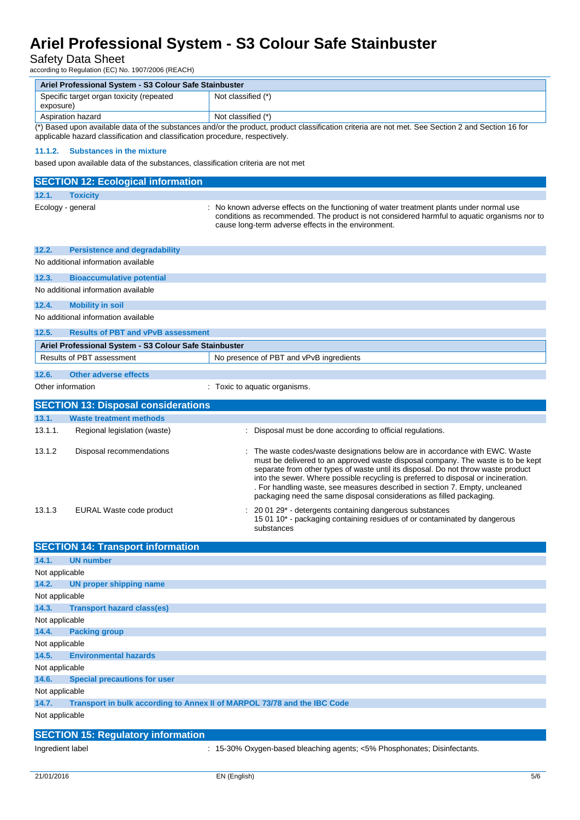## Safety Data Sheet

| according to Regulation (EC) No. 1907/2006 (REACH)                                                                                                                                                                                |                                                                                  |                                                                                                                                                                                                                                                                                                                                                                                                                                                                                                    |  |  |  |
|-----------------------------------------------------------------------------------------------------------------------------------------------------------------------------------------------------------------------------------|----------------------------------------------------------------------------------|----------------------------------------------------------------------------------------------------------------------------------------------------------------------------------------------------------------------------------------------------------------------------------------------------------------------------------------------------------------------------------------------------------------------------------------------------------------------------------------------------|--|--|--|
| Ariel Professional System - S3 Colour Safe Stainbuster                                                                                                                                                                            |                                                                                  |                                                                                                                                                                                                                                                                                                                                                                                                                                                                                                    |  |  |  |
| exposure)                                                                                                                                                                                                                         | Specific target organ toxicity (repeated                                         | Not classified (*)                                                                                                                                                                                                                                                                                                                                                                                                                                                                                 |  |  |  |
|                                                                                                                                                                                                                                   | Aspiration hazard                                                                | Not classified (*)                                                                                                                                                                                                                                                                                                                                                                                                                                                                                 |  |  |  |
| (*) Based upon available data of the substances and/or the product, product classification criteria are not met. See Section 2 and Section 16 for<br>applicable hazard classification and classification procedure, respectively. |                                                                                  |                                                                                                                                                                                                                                                                                                                                                                                                                                                                                                    |  |  |  |
| 11.1.2.                                                                                                                                                                                                                           | <b>Substances in the mixture</b>                                                 |                                                                                                                                                                                                                                                                                                                                                                                                                                                                                                    |  |  |  |
|                                                                                                                                                                                                                                   | based upon available data of the substances, classification criteria are not met |                                                                                                                                                                                                                                                                                                                                                                                                                                                                                                    |  |  |  |
|                                                                                                                                                                                                                                   | <b>SECTION 12: Ecological information</b>                                        |                                                                                                                                                                                                                                                                                                                                                                                                                                                                                                    |  |  |  |
| 12.1.                                                                                                                                                                                                                             | <b>Toxicity</b>                                                                  |                                                                                                                                                                                                                                                                                                                                                                                                                                                                                                    |  |  |  |
| Ecology - general                                                                                                                                                                                                                 |                                                                                  | : No known adverse effects on the functioning of water treatment plants under normal use<br>conditions as recommended. The product is not considered harmful to aquatic organisms nor to<br>cause long-term adverse effects in the environment.                                                                                                                                                                                                                                                    |  |  |  |
| 12.2.                                                                                                                                                                                                                             | <b>Persistence and degradability</b>                                             |                                                                                                                                                                                                                                                                                                                                                                                                                                                                                                    |  |  |  |
|                                                                                                                                                                                                                                   | No additional information available                                              |                                                                                                                                                                                                                                                                                                                                                                                                                                                                                                    |  |  |  |
| 12.3.                                                                                                                                                                                                                             | <b>Bioaccumulative potential</b>                                                 |                                                                                                                                                                                                                                                                                                                                                                                                                                                                                                    |  |  |  |
|                                                                                                                                                                                                                                   | No additional information available                                              |                                                                                                                                                                                                                                                                                                                                                                                                                                                                                                    |  |  |  |
| 12.4.                                                                                                                                                                                                                             | <b>Mobility in soil</b>                                                          |                                                                                                                                                                                                                                                                                                                                                                                                                                                                                                    |  |  |  |
|                                                                                                                                                                                                                                   | No additional information available                                              |                                                                                                                                                                                                                                                                                                                                                                                                                                                                                                    |  |  |  |
| 12.5.                                                                                                                                                                                                                             | <b>Results of PBT and vPvB assessment</b>                                        |                                                                                                                                                                                                                                                                                                                                                                                                                                                                                                    |  |  |  |
|                                                                                                                                                                                                                                   | Ariel Professional System - S3 Colour Safe Stainbuster                           |                                                                                                                                                                                                                                                                                                                                                                                                                                                                                                    |  |  |  |
|                                                                                                                                                                                                                                   | <b>Results of PBT assessment</b>                                                 | No presence of PBT and vPvB ingredients                                                                                                                                                                                                                                                                                                                                                                                                                                                            |  |  |  |
|                                                                                                                                                                                                                                   |                                                                                  |                                                                                                                                                                                                                                                                                                                                                                                                                                                                                                    |  |  |  |
| 12.6.                                                                                                                                                                                                                             | <b>Other adverse effects</b>                                                     |                                                                                                                                                                                                                                                                                                                                                                                                                                                                                                    |  |  |  |
| Other information                                                                                                                                                                                                                 |                                                                                  | : Toxic to aquatic organisms.                                                                                                                                                                                                                                                                                                                                                                                                                                                                      |  |  |  |
|                                                                                                                                                                                                                                   | <b>SECTION 13: Disposal considerations</b>                                       |                                                                                                                                                                                                                                                                                                                                                                                                                                                                                                    |  |  |  |
| 13.1.                                                                                                                                                                                                                             | <b>Waste treatment methods</b>                                                   |                                                                                                                                                                                                                                                                                                                                                                                                                                                                                                    |  |  |  |
| 13.1.1.                                                                                                                                                                                                                           | Regional legislation (waste)                                                     | : Disposal must be done according to official regulations.                                                                                                                                                                                                                                                                                                                                                                                                                                         |  |  |  |
| 13.1.2                                                                                                                                                                                                                            | Disposal recommendations                                                         | : The waste codes/waste designations below are in accordance with EWC. Waste<br>must be delivered to an approved waste disposal company. The waste is to be kept<br>separate from other types of waste until its disposal. Do not throw waste product<br>into the sewer. Where possible recycling is preferred to disposal or incineration.<br>. For handling waste, see measures described in section 7. Empty, uncleaned<br>packaging need the same disposal considerations as filled packaging. |  |  |  |
| 13.1.3                                                                                                                                                                                                                            | EURAL Waste code product                                                         | 20 01 29* - detergents containing dangerous substances<br>15 01 10 <sup>*</sup> - packaging containing residues of or contaminated by dangerous<br>substances                                                                                                                                                                                                                                                                                                                                      |  |  |  |
|                                                                                                                                                                                                                                   | <b>SECTION 14: Transport information</b>                                         |                                                                                                                                                                                                                                                                                                                                                                                                                                                                                                    |  |  |  |
| 14.1.                                                                                                                                                                                                                             | <b>UN number</b>                                                                 |                                                                                                                                                                                                                                                                                                                                                                                                                                                                                                    |  |  |  |
| Not applicable                                                                                                                                                                                                                    |                                                                                  |                                                                                                                                                                                                                                                                                                                                                                                                                                                                                                    |  |  |  |
| 14.2.                                                                                                                                                                                                                             | <b>UN proper shipping name</b>                                                   |                                                                                                                                                                                                                                                                                                                                                                                                                                                                                                    |  |  |  |
| Not applicable                                                                                                                                                                                                                    |                                                                                  |                                                                                                                                                                                                                                                                                                                                                                                                                                                                                                    |  |  |  |
| 14.3.                                                                                                                                                                                                                             | <b>Transport hazard class(es)</b>                                                |                                                                                                                                                                                                                                                                                                                                                                                                                                                                                                    |  |  |  |
| Not applicable                                                                                                                                                                                                                    |                                                                                  |                                                                                                                                                                                                                                                                                                                                                                                                                                                                                                    |  |  |  |
| 14.4.                                                                                                                                                                                                                             | <b>Packing group</b>                                                             |                                                                                                                                                                                                                                                                                                                                                                                                                                                                                                    |  |  |  |
| Not applicable                                                                                                                                                                                                                    |                                                                                  |                                                                                                                                                                                                                                                                                                                                                                                                                                                                                                    |  |  |  |
| 14.5.                                                                                                                                                                                                                             | <b>Environmental hazards</b>                                                     |                                                                                                                                                                                                                                                                                                                                                                                                                                                                                                    |  |  |  |
| Not applicable                                                                                                                                                                                                                    |                                                                                  |                                                                                                                                                                                                                                                                                                                                                                                                                                                                                                    |  |  |  |
| 14.6.                                                                                                                                                                                                                             | <b>Special precautions for user</b>                                              |                                                                                                                                                                                                                                                                                                                                                                                                                                                                                                    |  |  |  |
|                                                                                                                                                                                                                                   | Not applicable                                                                   |                                                                                                                                                                                                                                                                                                                                                                                                                                                                                                    |  |  |  |
| 14.7.<br>Transport in bulk according to Annex II of MARPOL 73/78 and the IBC Code<br>Not applicable                                                                                                                               |                                                                                  |                                                                                                                                                                                                                                                                                                                                                                                                                                                                                                    |  |  |  |
|                                                                                                                                                                                                                                   |                                                                                  |                                                                                                                                                                                                                                                                                                                                                                                                                                                                                                    |  |  |  |
|                                                                                                                                                                                                                                   | <b>SECTION 15: Regulatory information</b>                                        |                                                                                                                                                                                                                                                                                                                                                                                                                                                                                                    |  |  |  |
| Ingredient label                                                                                                                                                                                                                  |                                                                                  | : 15-30% Oxygen-based bleaching agents; <5% Phosphonates; Disinfectants.                                                                                                                                                                                                                                                                                                                                                                                                                           |  |  |  |